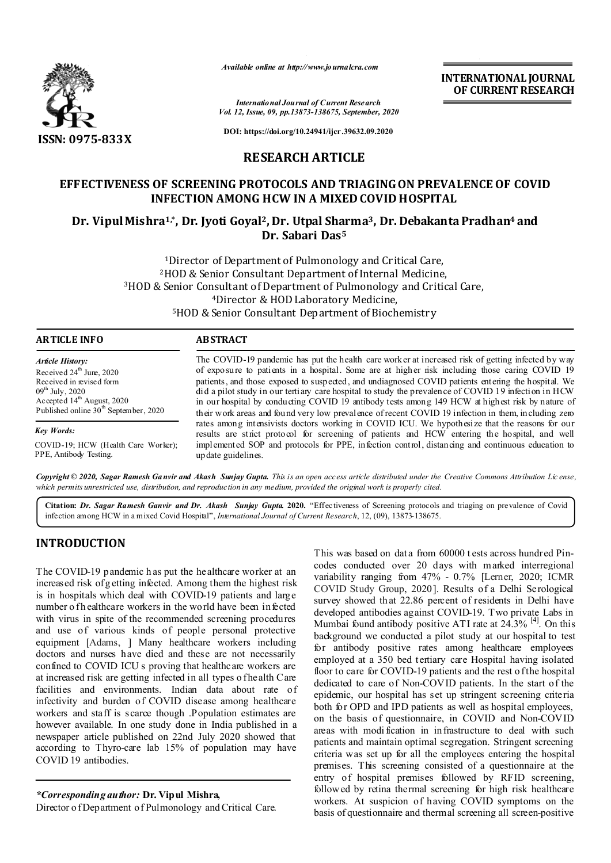

*Available online at http://www.journalcra.com*

**INTERNATIONAL JOURNAL OF CURRENT RESEARCH**

*International Journal of Current Research Vol. 12, Issue, 09, pp.13873-138675, September, 2020*

**DOI: https://doi.org/10.24941/ijcr.39632.09.2020**

# **RESEARCH ARTICLE**

# **EFFECTIVENESS OF SCREENING PROTOCOLS AND TRIAGING ON PREVALENCE OF COVID INFECTION AMONG HCW IN A MIXED COVID HOSPITAL**

# **Dr. Vipul Mishra1,\*, Dr. Jyoti Goyal2, Dr. Utpal Sharma3, Dr. Debakanta Pradhan4 and Dr. Sabari Das5**

1Director of Department of Pulmonology and Critical Care, 2HOD & Senior Consultant Department of Internal Medicine, 3HOD & Senior Consultant of Department of Pulmonology and Critical Care, 4Director & HOD Laboratory Medicine, 5HOD & Senior Consultant Department of Biochemistry

| <b>ARTICLE INFO</b>                        | <b>ABSTRACT</b>                                                                                                                                                                                 |  |
|--------------------------------------------|-------------------------------------------------------------------------------------------------------------------------------------------------------------------------------------------------|--|
| <b>Article History:</b>                    | The COVID-19 pandemic has put the health care worker at increased risk of getting infected by way                                                                                               |  |
| Received $24th$ June, 2020                 | of exposure to patients in a hospital. Some are at higher risk including those caring COVID 19                                                                                                  |  |
| Received in revised form                   | patients, and those exposed to suspected, and undiagnosed COVID patients entering the hospital. We                                                                                              |  |
| $09^{th}$ July, 2020                       | did a pilot study in our tertiary care hospital to study the prevalence of COVID 19 infection in HCW                                                                                            |  |
| Accepted 14 <sup>th</sup> August, 2020     | in our hospital by conducting COVID 19 antibody tests among 149 HCW at highest risk by nature of                                                                                                |  |
| Published online $30^{th}$ September, 2020 | their work areas and found very low prevalence of recent COVID 19 infection in them, including zero                                                                                             |  |
| <b>Key Words:</b>                          | rates among intensivists doctors working in COVID ICU. We hypothesize that the reasons for our<br>results are strict protocol for screening of patients and HCW entering the hospital, and well |  |
| COVID-19; HCW (Health Care Worker);        | implemented SOP and protocols for PPE, infection control, distancing and continuous education to                                                                                                |  |
| PPE, Antibody Testing.                     | up date guidelines.                                                                                                                                                                             |  |

Copyright © 2020, Sagar Ramesh Ganvir and Akash Sunjay Gupta. This is an open access article distributed under the Creative Commons Attribution License, which permits unrestricted use, distribution, and reproduction in any medium, provided the original work is properly cited.

**Citation:** *Dr. Sagar Ramesh Ganvir and Dr. Akash Sunjay Gupta.* **2020.** "Effectiveness of Screening protocols and triaging on prevalence of Covid infection among HCW in a mixed Covid Hospital", *International Journal of Current Research*, 12, (09), 13873-138675.

# **INTRODUCTION**

The COVID-19 pandemic h as put the healthcare worker at an increased risk of g etting infected. Among them the highest risk is in hospitals which deal with COVID-19 patients and large number o fh ealthcare workers in the world have been infected with virus in spite of the recommended screening procedures and use of various kinds of people personal protective equipment [Adams, ] Many healthcare workers including doctors and nurses have died and these are not necessarily confined to COVID ICU s proving that healthcare workers are at increased risk are getting infected in all types of health Care facilities and environments. Indian data about rate of infectivity and burden of COVID disease among healthcare workers and staff is scarce though .Population estimates are however available. In one study done in India published in a newspaper article published on 22nd July 2020 showed that according to Thyro-care lab 15% of population may have COVID 19 antibodies.

*\*Corresponding author:* **Dr. Vipul Mishra,** Director o f Department of Pulmonology and Critical Care. This was based on dat a from 60000 t ests across hundred Pincodes conducted over 20 days with marked interregional variability ranging from 47% - 0.7% [Lerner, 2020; ICMR COVID Study Group, 2020]. Results of a Delhi Serological survey showed that 22.86 percent of residents in Delhi have developed antibodies against COVID-19. Two private Labs in Mumbai found antibody positive ATI rate at  $24.3\%$  <sup>[4]</sup>. On this background we conducted a pilot study at our hospital to test for antibody positive rates among healthcare employees employed at a 350 bed tertiary care Hospital having isolated floor to care for COVID-19 patients and the rest o f the hospital dedicated to care of Non-COVID patients. In the start of the epidemic, our hospital has set up stringent screening criteria both for OPD and IPD patients as well as hospital employees, on the basis of questionnaire, in COVID and Non-COVID areas with modi fication in infrastructure to deal with such patients and maintain optimal segregation. Stringent screening criteria was set up for all the employees entering the hospital premises. This screening consisted of a questionnaire at the entry of hospital premises followed by RFID screening, followed by retina thermal screening for high risk healthcare workers. At suspicion of having COVID symptoms on the basis of questionnaire and thermal screening all screen-positive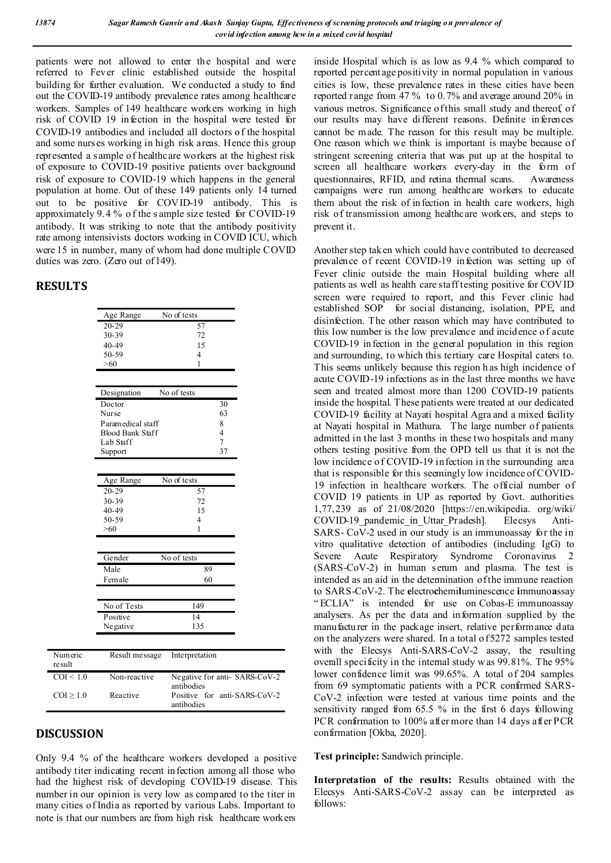patients were not allowed to enter the hospital and were referred to Fever clinic established outside the hospital building for further evaluation. We conducted a study to find out the COVID-19 antibody prevalence rates among healthcare workers. Samples of 149 healthcare workers working in high risk of COVID 19 infection in the hospital were tested for COVID-19 antibodies and included all doctors o f the hospital and some nurses working in high risk areas. Hence this group represented a sample of healthcare workers at the highest risk of exposure to COVID-19 positive patients over background risk of exposure to COVID-19 which happens in the general population at home. Out of these 149 patients only 14 turned out to be positive for COVID-19 antibody. This is approximately 9.4 % o f the s ample size tested for COVID-19 antibody. It was striking to note that the antibody positivity rate among intensivists doctors working in COVID ICU, which were 15 in number, many of whom had done multiple COVID duties was zero. (Zero out of 149).

### **RESULTS**

|                    | Age Range               | No of tests                                |
|--------------------|-------------------------|--------------------------------------------|
|                    | $20 - 29$               | 57                                         |
|                    | 30-39                   | 72                                         |
|                    | 40-49                   | 15                                         |
|                    | 50-59                   | 4                                          |
|                    | >60                     | 1                                          |
|                    |                         |                                            |
|                    | Designation             | No of tests                                |
|                    | Doctor                  | 30                                         |
|                    | Nurse                   | 63                                         |
|                    | Paramedical staff       | 8                                          |
|                    | <b>Blood Bank Staff</b> | $\overline{4}$                             |
|                    | Lab Staff               | $\tau$                                     |
|                    | Support                 | 37                                         |
|                    |                         |                                            |
|                    |                         |                                            |
|                    | Age Range               | No of tests                                |
|                    | $20 - 29$               | 57                                         |
|                    | 30-39                   | 72                                         |
|                    | 40-49                   | 15                                         |
|                    | 50-59                   | 4                                          |
|                    | >60                     | 1                                          |
|                    |                         |                                            |
|                    | Gender                  | No of tests                                |
|                    | Male                    | 89                                         |
|                    | Female                  | 60                                         |
|                    |                         |                                            |
|                    | No of Tests             | 149                                        |
|                    | Positive                | 14                                         |
|                    | Negative                | 135                                        |
|                    |                         |                                            |
|                    |                         |                                            |
| Numeric<br>re sult | Result message          | Interpretation                             |
| COI < 1.0          | Non-reactive            | Negative for anti-SARS-CoV-2<br>antibodies |
| $COI \geq 1.0$     | Reactive                | Positive for anti-SARS-CoV-2<br>antibodies |

# **DISCUSSION**

Only 9.4 % of the healthcare workers developed a positive antibody titer indicating recent infection among all those who had the highest risk of developing COVID-19 disease. This number in our opinion is very low as compared to the titer in many cities of India as reported by various Labs. Important to note is that our numbers are from high risk healthcare workers

inside Hospital which is as low as 9.4 % which compared to reported percentage positivity in normal population in various cities is low, these prevalence rates in these cities have been reported range from 47 % to 0.7% and average around 20% in various metros. Significance of this small study and thereof of our results may have different reasons. Definite inferences cannot be made. The reason for this result may be multiple. One reason which we think is important is maybe because of stringent screening criteria that was put up at the hospital to screen all healthcare workers every-day in the form of questionnaires, RFID, and retina thermal scans. Awareness campaigns were run among healthcare workers to educate them about the risk of infection in health care workers, high risk of transmission among healthcare workers, and steps to prevent it.

Another step taken which could have contributed to decreased prevalence of recent COVID-19 infection was setting up of Fever clinic outside the main Hospital building where all patients as well as health care staff testing positive for COVID screen were required to report, and this Fever clinic had established SOP for social distancing, isolation, PPE, and disinfection. The other reason which may have contributed to this low number is the low prevalence and incidence of acute COVID-19 infection in the general population in this region and surrounding, to which this tertiary care Hospital caters to. This seems unlikely because this region h as high incidence of acute COVID-19 infections as in the last three months we have seen and treated almost more than 1200 COVID-19 patients inside the hospital. These patients were treated at our dedicated COVID-19 facility at Nayati hospital Agra and a mixed facility at Nayati hospital in Mathura. The large number of patients admitted in the last 3 months in these two hospitals and many others testing positive from the OPD tell us that it is not the low incidence of COVID-19 infection in the surrounding area that is responsible for this seemingly low incidence of COVID-19 infection in healthcare workers. The official number of COVID 19 patients in UP as reported by Govt. authorities 1,77,239 as of 21/08/2020 [https://en.wikipedia. org/wiki/ COVID-19\_pandemic\_in\_Uttar\_Pradesh]. Elecsys Anti-SARS- CoV-2 used in our study is an immunoassay for the in vitro qualitative detection of antibodies (including IgG) to Severe Acute Respiratory Syndrome Coronavirus 2 (SARS-CoV-2) in human serum and plasma. The test is intended as an aid in the determination of the immune reaction to SARS-CoV-2. The **e**lectro**c**hemi**l**uminescence **i**mmuno**a**ssay " ECLIA" is intended for use on Cobas-E immunoassay analysers. As per the data and information supplied by the manufacturer in the package insert, relative performance data on the analyzers were shared. In a total o f 5272 samples tested with the Elecsys Anti-SARS-CoV-2 assay, the resulting overall specificity in the internal study w as 99.81%. The 95% lower confidence limit was 99.65%. A total of 204 samples from 69 symptomatic patients with a PCR confirmed SARS-CoV-2 infection were tested at various time points and the sensitivity ranged from 65.5 % in the first 6 days following PCR confirmation to 100% after more than 14 days after PCR confirmation [Okba, 2020].

**Test principle:** Sandwich principle.

**Interpretation of the results:** Results obtained with the Elecsys Anti-SARS-CoV-2 assay can be interpreted as follows: